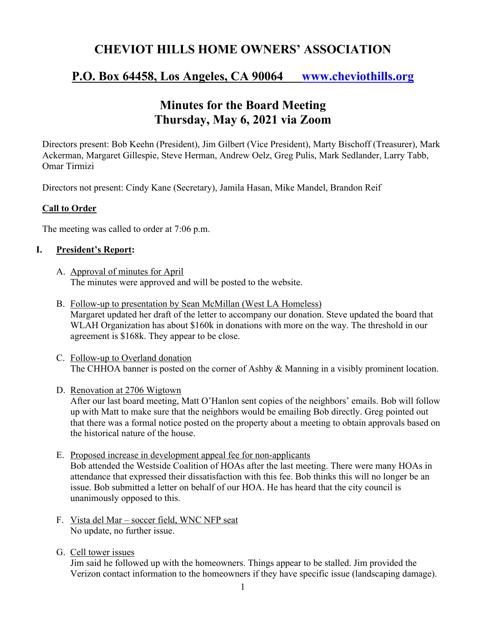# **CHEVIOT HILLS HOME OWNERS' ASSOCIATION**

## **P.O. Box 64458, Los Angeles, CA 90064 www.cheviothills.org**

# **Minutes for the Board Meeting Thursday, May 6, 2021 via Zoom**

Directors present: Bob Keehn (President), Jim Gilbert (Vice President), Marty Bischoff (Treasurer), Mark Ackerman, Margaret Gillespie, Steve Herman, Andrew Oelz, Greg Pulis, Mark Sedlander, Larry Tabb, Omar Tirmizi

Directors not present: Cindy Kane (Secretary), Jamila Hasan, Mike Mandel, Brandon Reif

### **Call to Order**

The meeting was called to order at 7:06 p.m.

### **I. President's Report:**

- A. Approval of minutes for April The minutes were approved and will be posted to the website.
- B. Follow-up to presentation by Sean McMillan (West LA Homeless) Margaret updated her draft of the letter to accompany our donation. Steve updated the board that WLAH Organization has about \$160k in donations with more on the way. The threshold in our agreement is \$168k. They appear to be close.
- C. Follow-up to Overland donation The CHHOA banner is posted on the corner of Ashby & Manning in a visibly prominent location.
- D. Renovation at 2706 Wigtown

After our last board meeting, Matt O'Hanlon sent copies of the neighbors' emails. Bob will follow up with Matt to make sure that the neighbors would be emailing Bob directly. Greg pointed out that there was a formal notice posted on the property about a meeting to obtain approvals based on the historical nature of the house.

- E. Proposed increase in development appeal fee for non-applicants Bob attended the Westside Coalition of HOAs after the last meeting. There were many HOAs in attendance that expressed their dissatisfaction with this fee. Bob thinks this will no longer be an issue. Bob submitted a letter on behalf of our HOA. He has heard that the city council is unanimously opposed to this.
- F. Vista del Mar soccer field, WNC NFP seat No update, no further issue.
- G. Cell tower issues

Jim said he followed up with the homeowners. Things appear to be stalled. Jim provided the Verizon contact information to the homeowners if they have specific issue (landscaping damage).